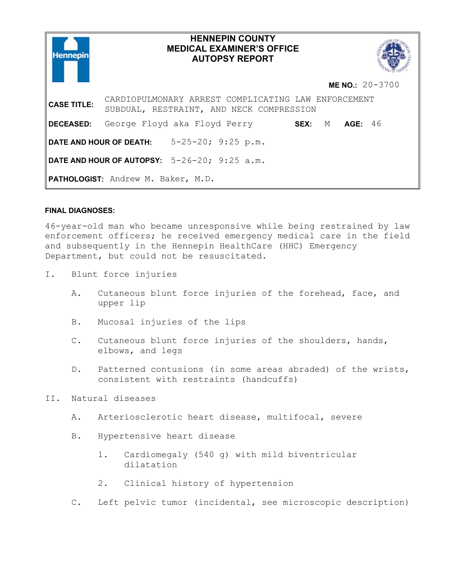

# **HENNEPIN COUNTY MEDICAL EXAMINER'S OFFICE AUTOPSY REPORT**



**ME NO.:** 20-3700

**CASE TITLE:** CARDIOPULMONARY ARREST COMPLICATING LAW ENFORCEMENT SUBDUAL, RESTRAINT, AND NECK COMPRESSION **DECEASED:** George Floyd aka Floyd Perry **SEX:** M **AGE:** 46 **DATE AND HOUR OF DEATH:** 5-25-20; 9:25 p.m. **DATE AND HOUR OF AUTOPSY:** 5-26-20; 9:25 a.m. **PATHOLOGIST:** Andrew M. Baker, M.D.

# **FINAL DIAGNOSES:**

46-year-old man who became unresponsive while being restrained by law enforcement officers; he received emergency medical care in the field and subsequently in the Hennepin HealthCare (HHC) Emergency Department, but could not be resuscitated.

- I. Blunt force injuries
	- A. Cutaneous blunt force injuries of the forehead, face, and upper lip
	- B. Mucosal injuries of the lips
	- C. Cutaneous blunt force injuries of the shoulders, hands, elbows, and legs
	- D. Patterned contusions (in some areas abraded) of the wrists, consistent with restraints (handcuffs)
- II. Natural diseases
	- A. Arteriosclerotic heart disease, multifocal, severe
	- B. Hypertensive heart disease
		- 1. Cardiomegaly (540 g) with mild biventricular dilatation
		- 2. Clinical history of hypertension
	- C. Left pelvic tumor (incidental, see microscopic description)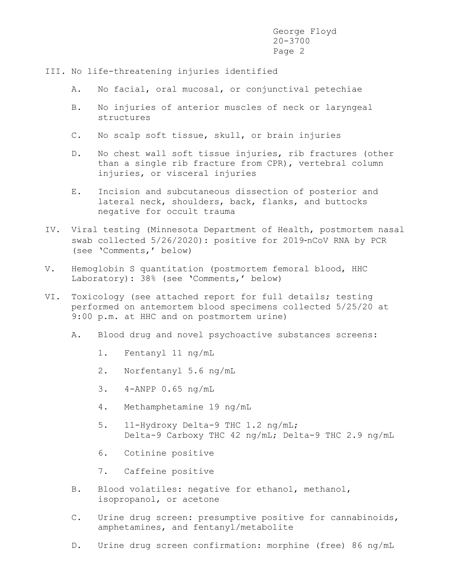- III. No life-threatening injuries identified
	- A. No facial, oral mucosal, or conjunctival petechiae
	- B. No injuries of anterior muscles of neck or laryngeal structures
	- C. No scalp soft tissue, skull, or brain injuries
	- D. No chest wall soft tissue injuries, rib fractures (other than a single rib fracture from CPR), vertebral column injuries, or visceral injuries
	- E. Incision and subcutaneous dissection of posterior and lateral neck, shoulders, back, flanks, and buttocks negative for occult trauma
- IV. Viral testing (Minnesota Department of Health, postmortem nasal swab collected 5/26/2020): positive for 2019-nCoV RNA by PCR (see 'Comments,' below)
- V. Hemoglobin S quantitation (postmortem femoral blood, HHC Laboratory): 38% (see 'Comments,' below)
- VI. Toxicology (see attached report for full details; testing performed on antemortem blood specimens collected 5/25/20 at 9:00 p.m. at HHC and on postmortem urine)
	- A. Blood drug and novel psychoactive substances screens:
		- 1. Fentanyl 11 ng/mL
		- 2. Norfentanyl 5.6 ng/mL
		- 3. 4-ANPP 0.65 ng/mL
		- 4. Methamphetamine 19 ng/mL
		- 5. 11-Hydroxy Delta-9 THC 1.2 ng/mL; Delta-9 Carboxy THC 42 ng/mL; Delta-9 THC 2.9 ng/mL
		- 6. Cotinine positive
		- 7. Caffeine positive
	- B. Blood volatiles: negative for ethanol, methanol, isopropanol, or acetone
	- C. Urine drug screen: presumptive positive for cannabinoids, amphetamines, and fentanyl/metabolite
	- D. Urine drug screen confirmation: morphine (free) 86 ng/mL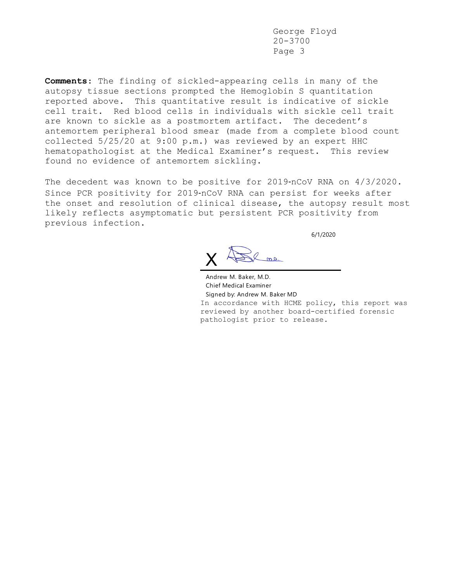**Comments**: The finding of sickled-appearing cells in many of the autopsy tissue sections prompted the Hemoglobin S quantitation reported above. This quantitative result is indicative of sickle cell trait. Red blood cells in individuals with sickle cell trait are known to sickle as a postmortem artifact. The decedent's antemortem peripheral blood smear (made from a complete blood count collected 5/25/20 at 9:00 p.m.) was reviewed by an expert HHC hematopathologist at the Medical Examiner's request. This review found no evidence of antemortem sickling.

The decedent was known to be positive for 2019-nCoV RNA on 4/3/2020. Since PCR positivity for 2019-nCoV RNA can persist for weeks after the onset and resolution of clinical disease, the autopsy result most likely reflects asymptomatic but persistent PCR positivity from previous infection.

6/1/2020

X

Andrew M. Baker, M.D. Chief Medical Examiner Signed by: Andrew M. Baker MD In accordance with HCME policy, this report was reviewed by another board-certified forensic pathologist prior to release.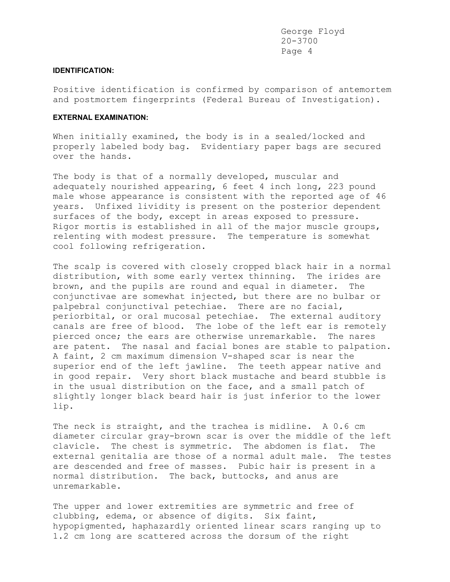### **IDENTIFICATION:**

Positive identification is confirmed by comparison of antemortem and postmortem fingerprints (Federal Bureau of Investigation).

### **EXTERNAL EXAMINATION:**

When initially examined, the body is in a sealed/locked and properly labeled body bag. Evidentiary paper bags are secured over the hands.

The body is that of a normally developed, muscular and adequately nourished appearing, 6 feet 4 inch long, 223 pound male whose appearance is consistent with the reported age of 46 years. Unfixed lividity is present on the posterior dependent surfaces of the body, except in areas exposed to pressure. Rigor mortis is established in all of the major muscle groups, relenting with modest pressure. The temperature is somewhat cool following refrigeration.

The scalp is covered with closely cropped black hair in a normal distribution, with some early vertex thinning. The irides are brown, and the pupils are round and equal in diameter. The conjunctivae are somewhat injected, but there are no bulbar or palpebral conjunctival petechiae. There are no facial, periorbital, or oral mucosal petechiae. The external auditory canals are free of blood. The lobe of the left ear is remotely pierced once; the ears are otherwise unremarkable. The nares are patent. The nasal and facial bones are stable to palpation. A faint, 2 cm maximum dimension V-shaped scar is near the superior end of the left jawline. The teeth appear native and in good repair. Very short black mustache and beard stubble is in the usual distribution on the face, and a small patch of slightly longer black beard hair is just inferior to the lower lip.

The neck is straight, and the trachea is midline. A 0.6 cm diameter circular gray-brown scar is over the middle of the left clavicle. The chest is symmetric. The abdomen is flat. The external genitalia are those of a normal adult male. The testes are descended and free of masses. Pubic hair is present in a normal distribution. The back, buttocks, and anus are unremarkable.

The upper and lower extremities are symmetric and free of clubbing, edema, or absence of digits. Six faint, hypopigmented, haphazardly oriented linear scars ranging up to 1.2 cm long are scattered across the dorsum of the right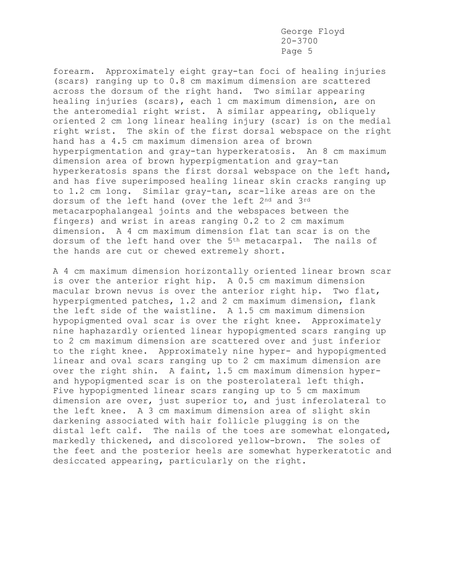forearm. Approximately eight gray-tan foci of healing injuries (scars) ranging up to 0.8 cm maximum dimension are scattered across the dorsum of the right hand. Two similar appearing healing injuries (scars), each 1 cm maximum dimension, are on the anteromedial right wrist. A similar appearing, obliquely oriented 2 cm long linear healing injury (scar) is on the medial right wrist. The skin of the first dorsal webspace on the right hand has a 4.5 cm maximum dimension area of brown hyperpigmentation and gray-tan hyperkeratosis. An 8 cm maximum dimension area of brown hyperpigmentation and gray-tan hyperkeratosis spans the first dorsal webspace on the left hand, and has five superimposed healing linear skin cracks ranging up to 1.2 cm long. Similar gray-tan, scar-like areas are on the dorsum of the left hand (over the left 2<sup>nd</sup> and 3<sup>rd</sup> metacarpophalangeal joints and the webspaces between the fingers) and wrist in areas ranging 0.2 to 2 cm maximum dimension. A 4 cm maximum dimension flat tan scar is on the dorsum of the left hand over the 5<sup>th</sup> metacarpal. The nails of the hands are cut or chewed extremely short.

A 4 cm maximum dimension horizontally oriented linear brown scar is over the anterior right hip. A 0.5 cm maximum dimension macular brown nevus is over the anterior right hip. Two flat, hyperpigmented patches, 1.2 and 2 cm maximum dimension, flank the left side of the waistline. A 1.5 cm maximum dimension hypopigmented oval scar is over the right knee. Approximately nine haphazardly oriented linear hypopigmented scars ranging up to 2 cm maximum dimension are scattered over and just inferior to the right knee. Approximately nine hyper- and hypopigmented linear and oval scars ranging up to 2 cm maximum dimension are over the right shin. A faint, 1.5 cm maximum dimension hyperand hypopigmented scar is on the posterolateral left thigh. Five hypopigmented linear scars ranging up to 5 cm maximum dimension are over, just superior to, and just inferolateral to the left knee. A 3 cm maximum dimension area of slight skin darkening associated with hair follicle plugging is on the distal left calf. The nails of the toes are somewhat elongated, markedly thickened, and discolored yellow-brown. The soles of the feet and the posterior heels are somewhat hyperkeratotic and desiccated appearing, particularly on the right.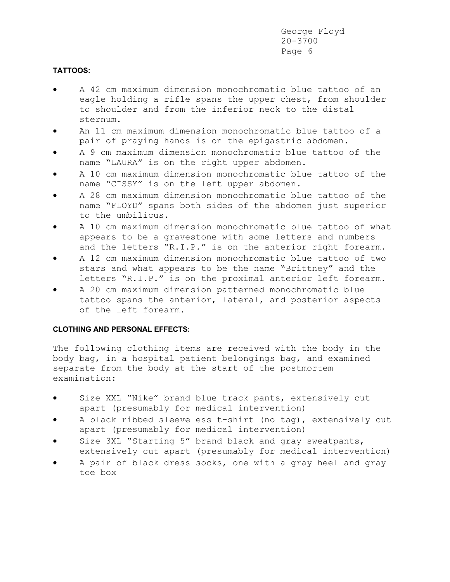# **TATTOOS:**

- A 42 cm maximum dimension monochromatic blue tattoo of an eagle holding a rifle spans the upper chest, from shoulder to shoulder and from the inferior neck to the distal sternum.
- An 11 cm maximum dimension monochromatic blue tattoo of a pair of praying hands is on the epigastric abdomen.
- A 9 cm maximum dimension monochromatic blue tattoo of the name "LAURA" is on the right upper abdomen.
- A 10 cm maximum dimension monochromatic blue tattoo of the name "CISSY" is on the left upper abdomen.
- A 28 cm maximum dimension monochromatic blue tattoo of the name "FLOYD" spans both sides of the abdomen just superior to the umbilicus.
- A 10 cm maximum dimension monochromatic blue tattoo of what appears to be a gravestone with some letters and numbers and the letters "R.I.P." is on the anterior right forearm.
- A 12 cm maximum dimension monochromatic blue tattoo of two stars and what appears to be the name "Brittney" and the letters "R.I.P." is on the proximal anterior left forearm.
- A 20 cm maximum dimension patterned monochromatic blue tattoo spans the anterior, lateral, and posterior aspects of the left forearm.

# **CLOTHING AND PERSONAL EFFECTS:**

The following clothing items are received with the body in the body bag, in a hospital patient belongings bag, and examined separate from the body at the start of the postmortem examination:

- Size XXL "Nike" brand blue track pants, extensively cut apart (presumably for medical intervention)
- A black ribbed sleeveless t-shirt (no tag), extensively cut apart (presumably for medical intervention)
- Size 3XL "Starting 5" brand black and gray sweatpants, extensively cut apart (presumably for medical intervention)
- A pair of black dress socks, one with a gray heel and gray toe box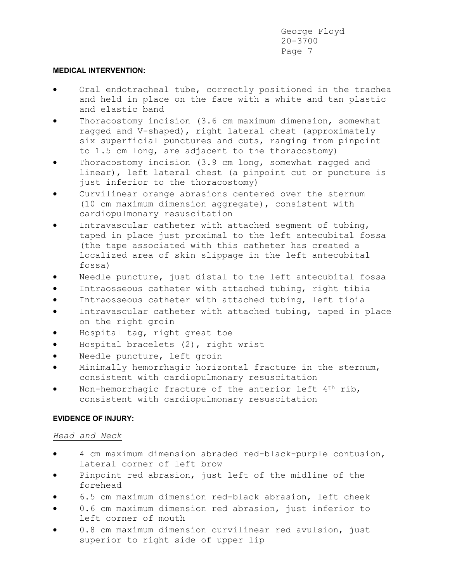### **MEDICAL INTERVENTION:**

- Oral endotracheal tube, correctly positioned in the trachea and held in place on the face with a white and tan plastic and elastic band
- Thoracostomy incision (3.6 cm maximum dimension, somewhat ragged and V-shaped), right lateral chest (approximately six superficial punctures and cuts, ranging from pinpoint to 1.5 cm long, are adjacent to the thoracostomy)
- Thoracostomy incision (3.9 cm long, somewhat ragged and linear), left lateral chest (a pinpoint cut or puncture is just inferior to the thoracostomy)
- Curvilinear orange abrasions centered over the sternum (10 cm maximum dimension aggregate), consistent with cardiopulmonary resuscitation
- Intravascular catheter with attached segment of tubing, taped in place just proximal to the left antecubital fossa (the tape associated with this catheter has created a localized area of skin slippage in the left antecubital fossa)
- Needle puncture, just distal to the left antecubital fossa
- Intraosseous catheter with attached tubing, right tibia
- Intraosseous catheter with attached tubing, left tibia
- Intravascular catheter with attached tubing, taped in place on the right groin
- Hospital tag, right great toe
- Hospital bracelets (2), right wrist
- Needle puncture, left groin
- Minimally hemorrhagic horizontal fracture in the sternum, consistent with cardiopulmonary resuscitation
- Non-hemorrhagic fracture of the anterior left 4th rib, consistent with cardiopulmonary resuscitation

# **EVIDENCE OF INJURY:**

# *Head and Neck*

- 4 cm maximum dimension abraded red-black-purple contusion, lateral corner of left brow
- Pinpoint red abrasion, just left of the midline of the forehead
- 6.5 cm maximum dimension red-black abrasion, left cheek
- 0.6 cm maximum dimension red abrasion, just inferior to left corner of mouth
- 0.8 cm maximum dimension curvilinear red avulsion, just superior to right side of upper lip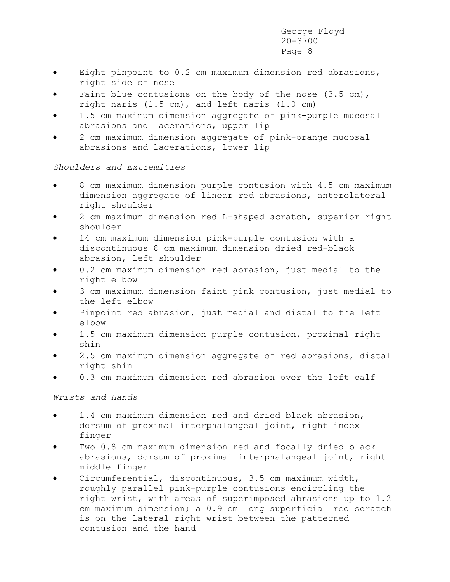- Eight pinpoint to 0.2 cm maximum dimension red abrasions, right side of nose
- Faint blue contusions on the body of the nose  $(3.5 \text{ cm})$ , right naris (1.5 cm), and left naris (1.0 cm)
- 1.5 cm maximum dimension aggregate of pink-purple mucosal abrasions and lacerations, upper lip
- 2 cm maximum dimension aggregate of pink-orange mucosal abrasions and lacerations, lower lip

# *Shoulders and Extremities*

- 8 cm maximum dimension purple contusion with 4.5 cm maximum dimension aggregate of linear red abrasions, anterolateral right shoulder
- 2 cm maximum dimension red L-shaped scratch, superior right shoulder
- 14 cm maximum dimension pink-purple contusion with a discontinuous 8 cm maximum dimension dried red-black abrasion, left shoulder
- 0.2 cm maximum dimension red abrasion, just medial to the right elbow
- 3 cm maximum dimension faint pink contusion, just medial to the left elbow
- Pinpoint red abrasion, just medial and distal to the left elbow
- 1.5 cm maximum dimension purple contusion, proximal right shin
- 2.5 cm maximum dimension aggregate of red abrasions, distal right shin
- 0.3 cm maximum dimension red abrasion over the left calf

# *Wrists and Hands*

- 1.4 cm maximum dimension red and dried black abrasion, dorsum of proximal interphalangeal joint, right index finger
- Two 0.8 cm maximum dimension red and focally dried black abrasions, dorsum of proximal interphalangeal joint, right middle finger
- Circumferential, discontinuous, 3.5 cm maximum width, roughly parallel pink-purple contusions encircling the right wrist, with areas of superimposed abrasions up to 1.2 cm maximum dimension; a 0.9 cm long superficial red scratch is on the lateral right wrist between the patterned contusion and the hand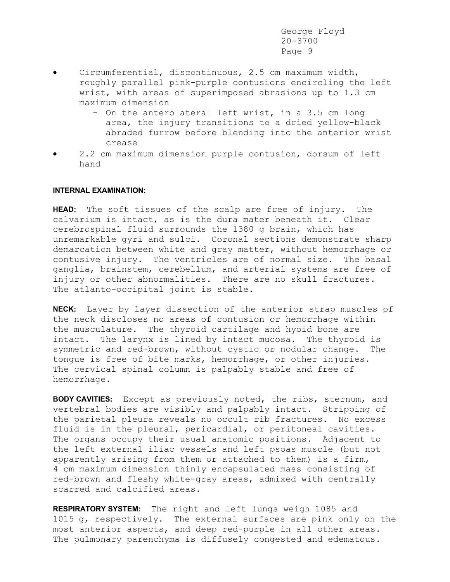- Circumferential, discontinuous, 2.5 cm maximum width, roughly parallel pink-purple contusions encircling the left wrist, with areas of superimposed abrasions up to 1.3 cm maximum dimension
	- On the anterolateral left wrist, in a 3.5 cm long area, the injury transitions to a dried yellow-black abraded furrow before blending into the anterior wrist crease
- 2.2 cm maximum dimension purple contusion, dorsum of left hand

### **INTERNAL EXAMINATION:**

**HEAD:** The soft tissues of the scalp are free of injury. The calvarium is intact, as is the dura mater beneath it. Clear cerebrospinal fluid surrounds the 1380 g brain, which has unremarkable gyri and sulci. Coronal sections demonstrate sharp demarcation between white and gray matter, without hemorrhage or contusive injury. The ventricles are of normal size. The basal ganglia, brainstem, cerebellum, and arterial systems are free of injury or other abnormalities. There are no skull fractures. The atlanto-occipital joint is stable.

**NECK:** Layer by layer dissection of the anterior strap muscles of the neck discloses no areas of contusion or hemorrhage within the musculature. The thyroid cartilage and hyoid bone are intact. The larynx is lined by intact mucosa. The thyroid is symmetric and red-brown, without cystic or nodular change. The tongue is free of bite marks, hemorrhage, or other injuries. The cervical spinal column is palpably stable and free of hemorrhage.

**BODY CAVITIES:** Except as previously noted, the ribs, sternum, and vertebral bodies are visibly and palpably intact. Stripping of the parietal pleura reveals no occult rib fractures. No excess fluid is in the pleural, pericardial, or peritoneal cavities. The organs occupy their usual anatomic positions. Adjacent to the left external iliac vessels and left psoas muscle (but not apparently arising from them or attached to them) is a firm, 4 cm maximum dimension thinly encapsulated mass consisting of red-brown and fleshy white-gray areas, admixed with centrally scarred and calcified areas.

**RESPIRATORY SYSTEM:** The right and left lungs weigh 1085 and 1015 g, respectively. The external surfaces are pink only on the most anterior aspects, and deep red-purple in all other areas. The pulmonary parenchyma is diffusely congested and edematous.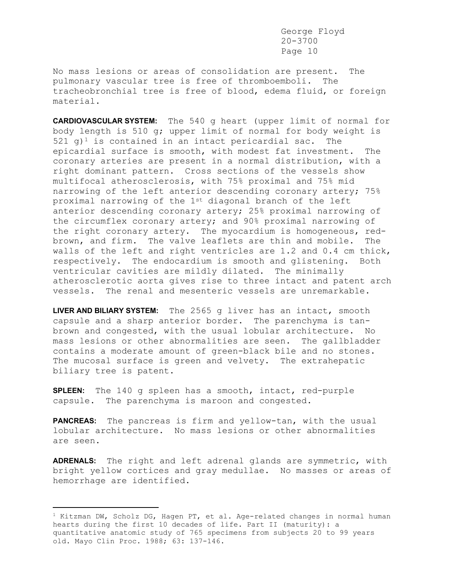No mass lesions or areas of consolidation are present. The pulmonary vascular tree is free of thromboemboli. The tracheobronchial tree is free of blood, edema fluid, or foreign material.

**CARDIOVASCULAR SYSTEM:** The 540 g heart (upper limit of normal for body length is 510 g; upper limit of normal for body weight is 521 g)<sup>1</sup> is contained in an intact pericardial sac. The epicardial surface is smooth, with modest fat investment. The coronary arteries are present in a normal distribution, with a right dominant pattern. Cross sections of the vessels show multifocal atherosclerosis, with 75% proximal and 75% mid narrowing of the left anterior descending coronary artery; 75% proximal narrowing of the 1st diagonal branch of the left anterior descending coronary artery; 25% proximal narrowing of the circumflex coronary artery; and 90% proximal narrowing of the right coronary artery. The myocardium is homogeneous, redbrown, and firm. The valve leaflets are thin and mobile. The walls of the left and right ventricles are 1.2 and 0.4 cm thick, respectively. The endocardium is smooth and glistening. Both ventricular cavities are mildly dilated. The minimally atherosclerotic aorta gives rise to three intact and patent arch vessels. The renal and mesenteric vessels are unremarkable.

**LIVER AND BILIARY SYSTEM:** The 2565 g liver has an intact, smooth capsule and a sharp anterior border. The parenchyma is tanbrown and congested, with the usual lobular architecture. No mass lesions or other abnormalities are seen. The gallbladder contains a moderate amount of green-black bile and no stones. The mucosal surface is green and velvety. The extrahepatic biliary tree is patent.

**SPLEEN:** The 140 g spleen has a smooth, intact, red-purple capsule. The parenchyma is maroon and congested.

**PANCREAS:** The pancreas is firm and yellow-tan, with the usual lobular architecture. No mass lesions or other abnormalities are seen.

**ADRENALS:** The right and left adrenal glands are symmetric, with bright yellow cortices and gray medullae. No masses or areas of hemorrhage are identified.

 $1$  Kitzman DW, Scholz DG, Hagen PT, et al. Age-related changes in normal human hearts during the first 10 decades of life. Part II (maturity): a quantitative anatomic study of 765 specimens from subjects 20 to 99 years old. Mayo Clin Proc. 1988; 63: 137-146.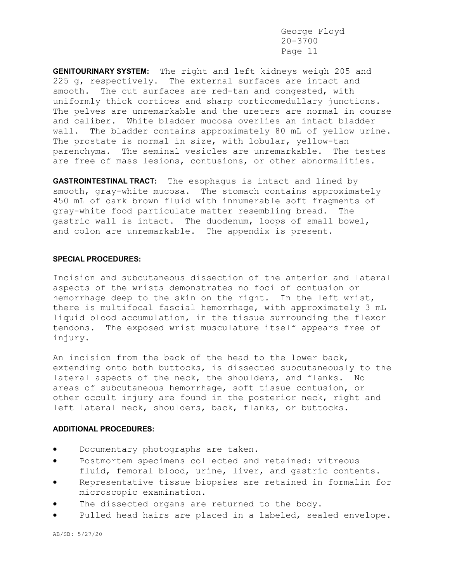**GENITOURINARY SYSTEM:** The right and left kidneys weigh 205 and 225 g, respectively. The external surfaces are intact and smooth. The cut surfaces are red-tan and congested, with uniformly thick cortices and sharp corticomedullary junctions. The pelves are unremarkable and the ureters are normal in course and caliber. White bladder mucosa overlies an intact bladder wall. The bladder contains approximately 80 mL of yellow urine. The prostate is normal in size, with lobular, yellow-tan parenchyma. The seminal vesicles are unremarkable. The testes are free of mass lesions, contusions, or other abnormalities.

**GASTROINTESTINAL TRACT:** The esophagus is intact and lined by smooth, gray-white mucosa. The stomach contains approximately 450 mL of dark brown fluid with innumerable soft fragments of gray-white food particulate matter resembling bread. The gastric wall is intact. The duodenum, loops of small bowel, and colon are unremarkable. The appendix is present.

### **SPECIAL PROCEDURES:**

Incision and subcutaneous dissection of the anterior and lateral aspects of the wrists demonstrates no foci of contusion or hemorrhage deep to the skin on the right. In the left wrist, there is multifocal fascial hemorrhage, with approximately 3 mL liquid blood accumulation, in the tissue surrounding the flexor tendons. The exposed wrist musculature itself appears free of injury.

An incision from the back of the head to the lower back, extending onto both buttocks, is dissected subcutaneously to the lateral aspects of the neck, the shoulders, and flanks. No areas of subcutaneous hemorrhage, soft tissue contusion, or other occult injury are found in the posterior neck, right and left lateral neck, shoulders, back, flanks, or buttocks.

### **ADDITIONAL PROCEDURES:**

- Documentary photographs are taken.
- Postmortem specimens collected and retained: vitreous fluid, femoral blood, urine, liver, and gastric contents.
- Representative tissue biopsies are retained in formalin for microscopic examination.
- The dissected organs are returned to the body.
- Pulled head hairs are placed in a labeled, sealed envelope.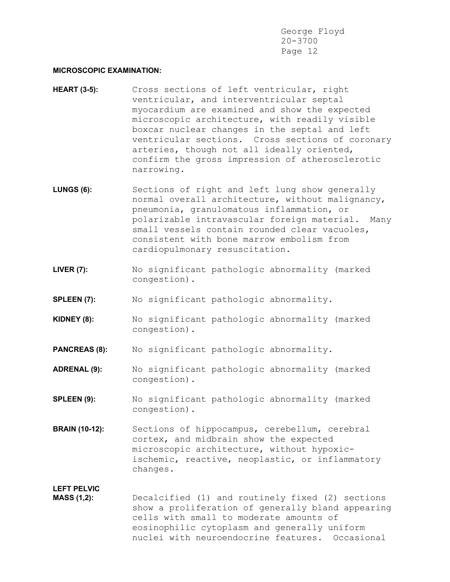### **MICROSCOPIC EXAMINATION:**

- **HEART (3-5):** Cross sections of left ventricular, right ventricular, and interventricular septal myocardium are examined and show the expected microscopic architecture, with readily visible boxcar nuclear changes in the septal and left ventricular sections. Cross sections of coronary arteries, though not all ideally oriented, confirm the gross impression of atherosclerotic narrowing.
- LUNGS (6): Sections of right and left lung show generally normal overall architecture, without malignancy, pneumonia, granulomatous inflammation, or polarizable intravascular foreign material. Many small vessels contain rounded clear vacuoles, consistent with bone marrow embolism from cardiopulmonary resuscitation.
- **LIVER (7):** No significant pathologic abnormality (marked congestion).
- **SPLEEN (7):** No significant pathologic abnormality.
- **KIDNEY (8):** No significant pathologic abnormality (marked congestion).
- **PANCREAS (8):** No significant pathologic abnormality.
- **ADRENAL (9):** No significant pathologic abnormality (marked congestion).
- **SPLEEN (9):** No significant pathologic abnormality (marked congestion).
- **BRAIN (10-12):** Sections of hippocampus, cerebellum, cerebral cortex, and midbrain show the expected microscopic architecture, without hypoxicischemic, reactive, neoplastic, or inflammatory changes.

# **LEFT PELVIC**

**MASS (1,2):** Decalcified (1) and routinely fixed (2) sections show a proliferation of generally bland appearing cells with small to moderate amounts of eosinophilic cytoplasm and generally uniform nuclei with neuroendocrine features. Occasional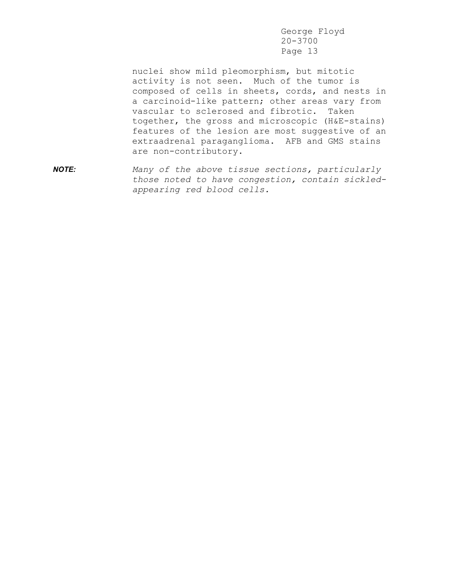nuclei show mild pleomorphism, but mitotic activity is not seen. Much of the tumor is composed of cells in sheets, cords, and nests in a carcinoid-like pattern; other areas vary from vascular to sclerosed and fibrotic. Taken together, the gross and microscopic (H&E-stains) features of the lesion are most suggestive of an extraadrenal paraganglioma. AFB and GMS stains are non-contributory.

*NOTE: Many of the above tissue sections, particularly those noted to have congestion, contain sickledappearing red blood cells.*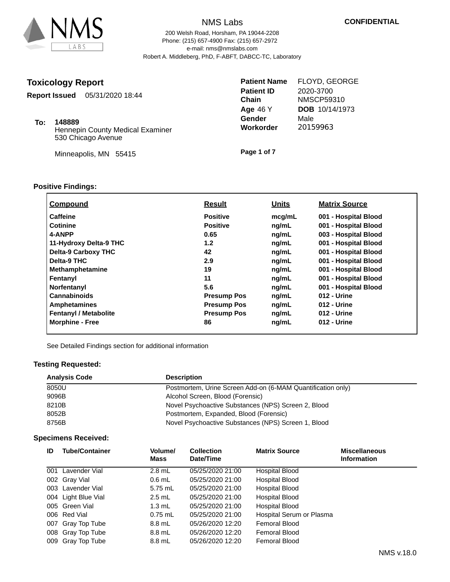

# NMS Labs 200 Welsh Road, Horsham, PA 19044-2208 e-mail: nms@nmslabs.com

Phone: (215) 657-4900 Fax: (215) 657-2972 Robert A. Middleberg, PhD, F-ABFT, DABCC-TC, Laboratory

|  |  | <b>Toxicology Report</b> |
|--|--|--------------------------|
|--|--|--------------------------|

**Report Issued** 05/31/2020 18:44

**148889 To:**

Hennepin County Medical Examiner 530 Chicago Avenue

Minneapolis, MN 55415

**Patient Name Patient ID Chain Age** 46 Y **Gender Workorder** FLOYD, GEORGE 2020-3700 NMSCP59310 Male 20159963 **DOB** 10/14/1973

**Page 1 of 7**

# **Positive Findings:**

| <b>Compound</b>              | <b>Result</b>      | <u>Units</u> | <b>Matrix Source</b> |
|------------------------------|--------------------|--------------|----------------------|
| <b>Caffeine</b>              | <b>Positive</b>    | mcq/mL       | 001 - Hospital Blood |
| <b>Cotinine</b>              | <b>Positive</b>    | ng/mL        | 001 - Hospital Blood |
| 4-ANPP                       | 0.65               | ng/mL        | 003 - Hospital Blood |
| 11-Hydroxy Delta-9 THC       | 1.2                | ng/mL        | 001 - Hospital Blood |
| <b>Delta-9 Carboxy THC</b>   | 42                 | ng/mL        | 001 - Hospital Blood |
| Delta-9 THC                  | 2.9                | ng/mL        | 001 - Hospital Blood |
| <b>Methamphetamine</b>       | 19                 | ng/mL        | 001 - Hospital Blood |
| Fentanyl                     | 11                 | ng/mL        | 001 - Hospital Blood |
| Norfentanyl                  | 5.6                | ng/mL        | 001 - Hospital Blood |
| <b>Cannabinoids</b>          | <b>Presump Pos</b> | ng/mL        | 012 - Urine          |
| <b>Amphetamines</b>          | <b>Presump Pos</b> | ng/mL        | 012 - Urine          |
| <b>Fentanyl / Metabolite</b> | <b>Presump Pos</b> | ng/mL        | 012 - Urine          |
| <b>Morphine - Free</b>       | 86                 | ng/mL        | 012 - Urine          |

See Detailed Findings section for additional information

### **Testing Requested:**

| <b>Analysis Code</b> | <b>Description</b>                                          |
|----------------------|-------------------------------------------------------------|
| 8050U                | Postmortem, Urine Screen Add-on (6-MAM Quantification only) |
| 9096B                | Alcohol Screen, Blood (Forensic)                            |
| 8210B                | Novel Psychoactive Substances (NPS) Screen 2, Blood         |
| 8052B                | Postmortem, Expanded, Blood (Forensic)                      |
| 8756B                | Novel Psychoactive Substances (NPS) Screen 1, Blood         |

# **Specimens Received:**

| ID | <b>Tube/Container</b> | Volume/<br>Mass  | <b>Collection</b><br>Date/Time | <b>Matrix Source</b>     | <b>Miscellaneous</b><br><b>Information</b> |
|----|-----------------------|------------------|--------------------------------|--------------------------|--------------------------------------------|
|    | 001 Lavender Vial     | $2.8$ mL         | 05/25/2020 21:00               | Hospital Blood           |                                            |
|    | 002 Gray Vial         | $0.6$ mL         | 05/25/2020 21:00               | Hospital Blood           |                                            |
|    | 003 Lavender Vial     | 5.75 mL          | 05/25/2020 21:00               | <b>Hospital Blood</b>    |                                            |
|    | 004 Light Blue Vial   | $2.5$ mL         | 05/25/2020 21:00               | Hospital Blood           |                                            |
|    | 005 Green Vial        | $1.3 \text{ mL}$ | 05/25/2020 21:00               | <b>Hospital Blood</b>    |                                            |
|    | 006 Red Vial          | $0.75$ mL        | 05/25/2020 21:00               | Hospital Serum or Plasma |                                            |
|    | 007 Gray Top Tube     | 8.8 mL           | 05/26/2020 12:20               | <b>Femoral Blood</b>     |                                            |
|    | 008 Gray Top Tube     | 8.8 mL           | 05/26/2020 12:20               | <b>Femoral Blood</b>     |                                            |
|    | 009 Gray Top Tube     | 8.8 mL           | 05/26/2020 12:20               | Femoral Blood            |                                            |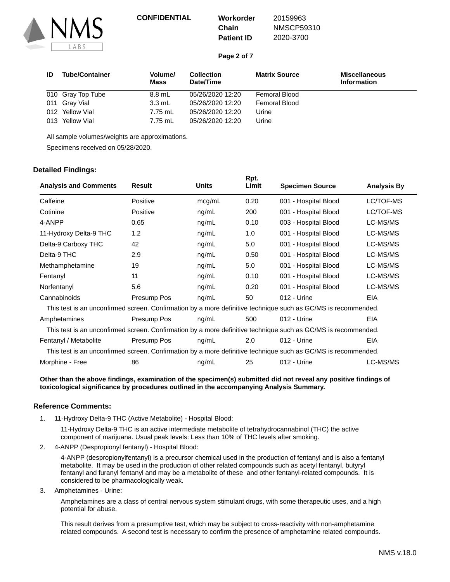

# **Chain**

20159963 NMSCP59310 2020-3700

**Page 2 of 7**

**Patient ID**

| ID  | <b>Tube/Container</b> | Volume/<br>Mass  | <b>Collection</b><br>Date/Time | <b>Matrix Source</b> | <b>Miscellaneous</b><br><b>Information</b> |
|-----|-----------------------|------------------|--------------------------------|----------------------|--------------------------------------------|
|     | 010 Gray Top Tube     | 8.8 mL           | 05/26/2020 12:20               | <b>Femoral Blood</b> |                                            |
|     | 011 Gray Vial         | $3.3 \text{ mL}$ | 05/26/2020 12:20               | Femoral Blood        |                                            |
|     | 012 Yellow Vial       | 7.75 mL          | 05/26/2020 12:20               | Urine                |                                            |
| 013 | Yellow Vial           | 7.75 mL          | 05/26/2020 12:20               | Urine                |                                            |

All sample volumes/weights are approximations.

Specimens received on 05/28/2020.

### **Detailed Findings:**

|                              |               |              | Rpt.  |                                                                                                               |                    |
|------------------------------|---------------|--------------|-------|---------------------------------------------------------------------------------------------------------------|--------------------|
| <b>Analysis and Comments</b> | <b>Result</b> | <b>Units</b> | Limit | <b>Specimen Source</b>                                                                                        | <b>Analysis By</b> |
| Caffeine                     | Positive      | mcg/mL       | 0.20  | 001 - Hospital Blood                                                                                          | LC/TOF-MS          |
| Cotinine                     | Positive      | nq/mL        | 200   | 001 - Hospital Blood                                                                                          | LC/TOF-MS          |
| 4-ANPP                       | 0.65          | ng/mL        | 0.10  | 003 - Hospital Blood                                                                                          | LC-MS/MS           |
| 11-Hydroxy Delta-9 THC       | 1.2           | ng/mL        | 1.0   | 001 - Hospital Blood                                                                                          | LC-MS/MS           |
| Delta-9 Carboxy THC          | 42            | ng/mL        | 5.0   | 001 - Hospital Blood                                                                                          | LC-MS/MS           |
| Delta-9 THC                  | 2.9           | ng/mL        | 0.50  | 001 - Hospital Blood                                                                                          | LC-MS/MS           |
| Methamphetamine              | 19            | nq/mL        | 5.0   | 001 - Hospital Blood                                                                                          | LC-MS/MS           |
| Fentanyl                     | 11            | ng/mL        | 0.10  | 001 - Hospital Blood                                                                                          | LC-MS/MS           |
| Norfentanyl                  | 5.6           | ng/mL        | 0.20  | 001 - Hospital Blood                                                                                          | LC-MS/MS           |
| Cannabinoids                 | Presump Pos   | ng/mL        | 50    | 012 - Urine                                                                                                   | <b>EIA</b>         |
|                              |               |              |       | This test is an unconfirmed screen. Confirmation by a more definitive technique such as GC/MS is recommended. |                    |
| Amphetamines                 | Presump Pos   | nq/mL        | 500   | 012 - Urine                                                                                                   | <b>EIA</b>         |
|                              |               |              |       | This test is an unconfirmed screen. Confirmation by a more definitive technique such as GC/MS is recommended. |                    |
| Fentanyl / Metabolite        | Presump Pos   | ng/mL        | 2.0   | 012 - Urine                                                                                                   | <b>EIA</b>         |
|                              |               |              |       | This test is an unconfirmed screen. Confirmation by a more definitive technique such as GC/MS is recommended. |                    |
| Morphine - Free              | 86            | nq/mL        | 25    | 012 - Urine                                                                                                   | LC-MS/MS           |

#### **Other than the above findings, examination of the specimen(s) submitted did not reveal any positive findings of toxicological significance by procedures outlined in the accompanying Analysis Summary.**

### **Reference Comments:**

11-Hydroxy Delta-9 THC (Active Metabolite) - Hospital Blood: 1.

> 11-Hydroxy Delta-9 THC is an active intermediate metabolite of tetrahydrocannabinol (THC) the active component of marijuana. Usual peak levels: Less than 10% of THC levels after smoking.

4-ANPP (Despropionyl fentanyl) - Hospital Blood: 2.

4-ANPP (despropionylfentanyl) is a precursor chemical used in the production of fentanyl and is also a fentanyl metabolite. It may be used in the production of other related compounds such as acetyl fentanyl, butyryl fentanyl and furanyl fentanyl and may be a metabolite of these and other fentanyl-related compounds. It is considered to be pharmacologically weak.

3. Amphetamines - Urine:

Amphetamines are a class of central nervous system stimulant drugs, with some therapeutic uses, and a high potential for abuse.

This result derives from a presumptive test, which may be subject to cross-reactivity with non-amphetamine related compounds. A second test is necessary to confirm the presence of amphetamine related compounds.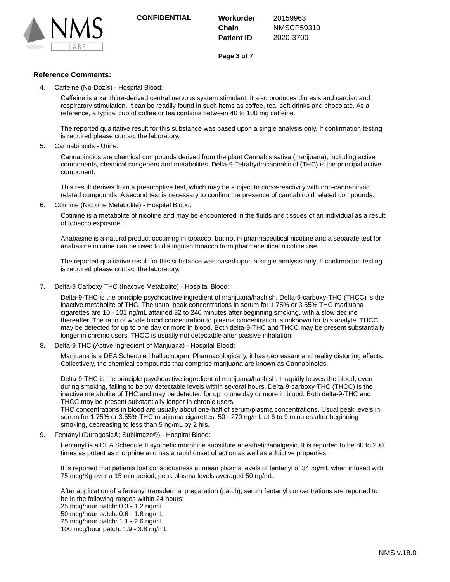

**Chain Patient ID** 20159963 NMSCP59310 2020-3700

**Page 3 of 7**

### **Reference Comments:**

Caffeine (No-Doz®) - Hospital Blood: 4.

> Caffeine is a xanthine-derived central nervous system stimulant. It also produces diuresis and cardiac and respiratory stimulation. It can be readily found in such items as coffee, tea, soft drinks and chocolate. As a reference, a typical cup of coffee or tea contains between 40 to 100 mg caffeine.

The reported qualitative result for this substance was based upon a single analysis only. If confirmation testing is required please contact the laboratory.

Cannabinoids - Urine: 5.

> Cannabinoids are chemical compounds derived from the plant Cannabis sativa (marijuana), including active components, chemical congeners and metabolites. Delta-9-Tetrahydrocannabinol (THC) is the principal active component.

This result derives from a presumptive test, which may be subject to cross-reactivity with non-cannabinoid related compounds. A second test is necessary to confirm the presence of cannabinoid related compounds.

6. Cotinine (Nicotine Metabolite) - Hospital Blood:

Cotinine is a metabolite of nicotine and may be encountered in the fluids and tissues of an individual as a result of tobacco exposure.

Anabasine is a natural product occurring in tobacco, but not in pharmaceutical nicotine and a separate test for anabasine in urine can be used to distinguish tobacco from pharmaceutical nicotine use.

The reported qualitative result for this substance was based upon a single analysis only. If confirmation testing is required please contact the laboratory.

7. Delta-9 Carboxy THC (Inactive Metabolite) - Hospital Blood:

Delta-9-THC is the principle psychoactive ingredient of marijuana/hashish. Delta-9-carboxy-THC (THCC) is the inactive metabolite of THC. The usual peak concentrations in serum for 1.75% or 3.55% THC marijuana cigarettes are 10 - 101 ng/mL attained 32 to 240 minutes after beginning smoking, with a slow decline thereafter. The ratio of whole blood concentration to plasma concentration is unknown for this analyte. THCC may be detected for up to one day or more in blood. Both delta-9-THC and THCC may be present substantially longer in chronic users. THCC is usually not detectable after passive inhalation.

8. Delta-9 THC (Active Ingredient of Marijuana) - Hospital Blood:

Marijuana is a DEA Schedule I hallucinogen. Pharmacologically, it has depressant and reality distorting effects. Collectively, the chemical compounds that comprise marijuana are known as Cannabinoids.

Delta-9-THC is the principle psychoactive ingredient of marijuana/hashish. It rapidly leaves the blood, even during smoking, falling to below detectable levels within several hours. Delta-9-carboxy-THC (THCC) is the inactive metabolite of THC and may be detected for up to one day or more in blood. Both delta-9-THC and THCC may be present substantially longer in chronic users.

THC concentrations in blood are usually about one-half of serum/plasma concentrations. Usual peak levels in serum for 1.75% or 3.55% THC marijuana cigarettes: 50 - 270 ng/mL at 6 to 9 minutes after beginning smoking, decreasing to less than 5 ng/mL by 2 hrs.

Fentanyl (Duragesic®; Sublimaze®) - Hospital Blood: 9.

Fentanyl is a DEA Schedule II synthetic morphine substitute anesthetic/analgesic. It is reported to be 80 to 200 times as potent as morphine and has a rapid onset of action as well as addictive properties.

It is reported that patients lost consciousness at mean plasma levels of fentanyl of 34 ng/mL when infused with 75 mcg/Kg over a 15 min period; peak plasma levels averaged 50 ng/mL.

After application of a fentanyl transdermal preparation (patch), serum fentanyl concentrations are reported to be in the following ranges within 24 hours:

25 mcg/hour patch: 0.3 - 1.2 ng/mL

50 mcg/hour patch: 0.6 - 1.8 ng/mL

75 mcg/hour patch: 1.1 - 2.6 ng/mL

100 mcg/hour patch: 1.9 - 3.8 ng/mL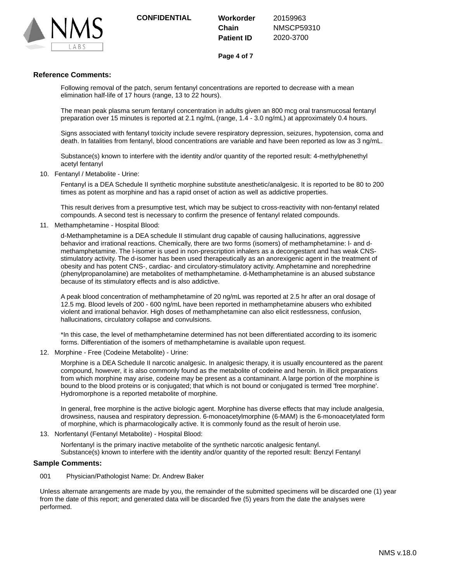

**Chain Patient ID** 20159963 NMSCP59310 2020-3700

**Page 4 of 7**

### **Reference Comments:**

Following removal of the patch, serum fentanyl concentrations are reported to decrease with a mean elimination half-life of 17 hours (range, 13 to 22 hours).

The mean peak plasma serum fentanyl concentration in adults given an 800 mcg oral transmucosal fentanyl preparation over 15 minutes is reported at 2.1 ng/mL (range, 1.4 - 3.0 ng/mL) at approximately 0.4 hours.

Signs associated with fentanyl toxicity include severe respiratory depression, seizures, hypotension, coma and death. In fatalities from fentanyl, blood concentrations are variable and have been reported as low as 3 ng/mL.

Substance(s) known to interfere with the identity and/or quantity of the reported result: 4-methylphenethyl acetyl fentanyl

10. Fentanyl / Metabolite - Urine:

Fentanyl is a DEA Schedule II synthetic morphine substitute anesthetic/analgesic. It is reported to be 80 to 200 times as potent as morphine and has a rapid onset of action as well as addictive properties.

This result derives from a presumptive test, which may be subject to cross-reactivity with non-fentanyl related compounds. A second test is necessary to confirm the presence of fentanyl related compounds.

11. Methamphetamine - Hospital Blood:

d-Methamphetamine is a DEA schedule II stimulant drug capable of causing hallucinations, aggressive behavior and irrational reactions. Chemically, there are two forms (isomers) of methamphetamine: l- and dmethamphetamine. The l-isomer is used in non-prescription inhalers as a decongestant and has weak CNSstimulatory activity. The d-isomer has been used therapeutically as an anorexigenic agent in the treatment of obesity and has potent CNS-, cardiac- and circulatory-stimulatory activity. Amphetamine and norephedrine (phenylpropanolamine) are metabolites of methamphetamine. d-Methamphetamine is an abused substance because of its stimulatory effects and is also addictive.

A peak blood concentration of methamphetamine of 20 ng/mL was reported at 2.5 hr after an oral dosage of 12.5 mg. Blood levels of 200 - 600 ng/mL have been reported in methamphetamine abusers who exhibited violent and irrational behavior. High doses of methamphetamine can also elicit restlessness, confusion, hallucinations, circulatory collapse and convulsions.

\*In this case, the level of methamphetamine determined has not been differentiated according to its isomeric forms. Differentiation of the isomers of methamphetamine is available upon request.

12. Morphine - Free (Codeine Metabolite) - Urine:

Morphine is a DEA Schedule II narcotic analgesic. In analgesic therapy, it is usually encountered as the parent compound, however, it is also commonly found as the metabolite of codeine and heroin. In illicit preparations from which morphine may arise, codeine may be present as a contaminant. A large portion of the morphine is bound to the blood proteins or is conjugated; that which is not bound or conjugated is termed 'free morphine'. Hydromorphone is a reported metabolite of morphine.

In general, free morphine is the active biologic agent. Morphine has diverse effects that may include analgesia, drowsiness, nausea and respiratory depression. 6-monoacetylmorphine (6-MAM) is the 6-monoacetylated form of morphine, which is pharmacologically active. It is commonly found as the result of heroin use.

13. Norfentanyl (Fentanyl Metabolite) - Hospital Blood:

Norfentanyl is the primary inactive metabolite of the synthetic narcotic analgesic fentanyl. Substance(s) known to interfere with the identity and/or quantity of the reported result: Benzyl Fentanyl

### **Sample Comments:**

001 Physician/Pathologist Name: Dr. Andrew Baker

Unless alternate arrangements are made by you, the remainder of the submitted specimens will be discarded one (1) year from the date of this report; and generated data will be discarded five (5) years from the date the analyses were performed.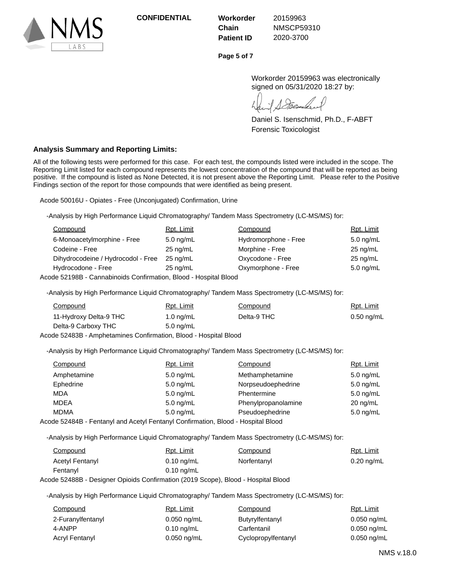

**Chain Patient ID**

20159963 NMSCP59310 2020-3700

**Page 5 of 7**

Workorder 20159963 was electronically signed on 05/31/2020 18:27 by:

Daniel S. Isenschmid, Ph.D., F-ABFT Forensic Toxicologist

# **Analysis Summary and Reporting Limits:**

All of the following tests were performed for this case. For each test, the compounds listed were included in the scope. The Reporting Limit listed for each compound represents the lowest concentration of the compound that will be reported as being positive. If the compound is listed as None Detected, it is not present above the Reporting Limit. Please refer to the Positive Findings section of the report for those compounds that were identified as being present.

Acode 50016U - Opiates - Free (Unconjugated) Confirmation, Urine

-Analysis by High Performance Liquid Chromatography/ Tandem Mass Spectrometry (LC-MS/MS) for:

| Compound                           | Rpt. Limit         | Compound             | Rpt. Limit         |
|------------------------------------|--------------------|----------------------|--------------------|
| 6-Monoacetylmorphine - Free        | $5.0$ ng/mL        | Hydromorphone - Free | $5.0$ ng/mL        |
| Codeine - Free                     | $25 \text{ nq/mL}$ | Morphine - Free      | $25$ ng/mL         |
| Dihydrocodeine / Hydrocodol - Free | $25 \text{ na/mL}$ | Oxycodone - Free     | $25 \text{ nq/mL}$ |
| Hydrocodone - Free                 | $25$ ng/mL         | Oxymorphone - Free   | $5.0$ ng/mL        |
|                                    |                    |                      |                    |

Acode 52198B - Cannabinoids Confirmation, Blood - Hospital Blood

-Analysis by High Performance Liquid Chromatography/ Tandem Mass Spectrometry (LC-MS/MS) for:

| Compound               | Rpt. Limit | Compound    | Rpt. Limit   |
|------------------------|------------|-------------|--------------|
| 11-Hydroxy Delta-9 THC | 1.0 ng/mL  | Delta-9 THC | $0.50$ ng/mL |
| Delta-9 Carboxy THC    | 5.0 ng/mL  |             |              |

Acode 52483B - Amphetamines Confirmation, Blood - Hospital Blood

-Analysis by High Performance Liquid Chromatography/ Tandem Mass Spectrometry (LC-MS/MS) for:

| Compound    | Rpt. Limit                                                                       | Compound            | Rpt. Limit  |
|-------------|----------------------------------------------------------------------------------|---------------------|-------------|
| Amphetamine | $5.0 \text{ ng/mL}$                                                              | Methamphetamine     | $5.0$ ng/mL |
| Ephedrine   | $5.0$ ng/mL                                                                      | Norpseudoephedrine  | $5.0$ ng/mL |
| <b>MDA</b>  | $5.0$ ng/mL                                                                      | Phentermine         | $5.0$ ng/mL |
| MDEA        | $5.0$ ng/mL                                                                      | Phenylpropanolamine | $20$ ng/mL  |
| <b>MDMA</b> | $5.0 \text{ ng/mL}$                                                              | Pseudoephedrine     | $5.0$ ng/mL |
|             | Acode 52484B - Fentanyl and Acetyl Fentanyl Confirmation, Blood - Hospital Blood |                     |             |

-Analysis by High Performance Liquid Chromatography/ Tandem Mass Spectrometry (LC-MS/MS) for:

| Compound               | Rpt. Limit           | Compound    | <u>Rpt. Limit</u>    |
|------------------------|----------------------|-------------|----------------------|
| <b>Acetyl Fentanyl</b> | $0.10 \text{ ng/mL}$ | Norfentanyl | $0.20 \text{ ng/mL}$ |
| Fentanyl               | $0.10 \text{ ng/mL}$ |             |                      |

Acode 52488B - Designer Opioids Confirmation (2019 Scope), Blood - Hospital Blood

-Analysis by High Performance Liquid Chromatography/ Tandem Mass Spectrometry (LC-MS/MS) for:

| Compound          | Rpt. Limit    | Compound            | Rpt. Limit    |
|-------------------|---------------|---------------------|---------------|
| 2-Furanylfentanyl | 0.050 ng/mL   | Butyrylfentanyl     | $0.050$ ng/mL |
| 4-ANPP            | 0.10 ng/mL    | Carfentanil         | $0.050$ ng/mL |
| Acryl Fentanyl    | $0.050$ ng/mL | Cyclopropylfentanyl | $0.050$ ng/mL |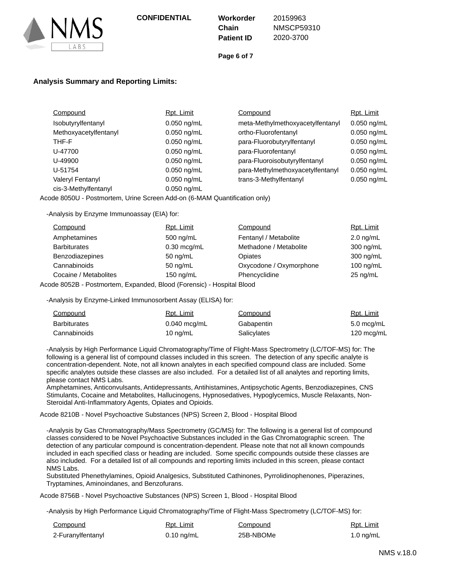

**Chain Patient ID**

20159963 NMSCP59310 2020-3700

**Page 6 of 7**

# **Analysis Summary and Reporting Limits:**

| Compound                | Rpt. Limit    | Compound                         | Rpt. Limit    |
|-------------------------|---------------|----------------------------------|---------------|
| Isobutyrylfentanyl      | $0.050$ ng/mL | meta-Methylmethoxyacetylfentanyl | $0.050$ ng/mL |
| Methoxyacetylfentanyl   | $0.050$ ng/mL | ortho-Fluorofentanyl             | $0.050$ ng/mL |
| THF-F                   | $0.050$ ng/mL | para-Fluorobutyrylfentanyl       | $0.050$ ng/mL |
| U-47700                 | $0.050$ ng/mL | para-Fluorofentanyl              | $0.050$ ng/mL |
| U-49900                 | $0.050$ ng/mL | para-Fluoroisobutyrylfentanyl    | $0.050$ ng/mL |
| U-51754                 | $0.050$ ng/mL | para-Methylmethoxyacetylfentanyl | $0.050$ ng/mL |
| <b>Valeryl Fentanyl</b> | $0.050$ ng/mL | trans-3-Methylfentanyl           | $0.050$ ng/mL |
| cis-3-Methylfentanyl    | $0.050$ ng/mL |                                  |               |

Acode 8050U - Postmortem, Urine Screen Add-on (6-MAM Quantification only)

-Analysis by Enzyme Immunoassay (EIA) for:

| Compound              | Rpt. Limit         | Compound                | Rpt. Limit  |
|-----------------------|--------------------|-------------------------|-------------|
| Amphetamines          | 500 ng/mL          | Fentanyl / Metabolite   | $2.0$ ng/mL |
| <b>Barbiturates</b>   | $0.30$ mcg/mL      | Methadone / Metabolite  | 300 ng/mL   |
| Benzodiazepines       | $50 \text{ ng/mL}$ | Opiates                 | 300 ng/mL   |
| Cannabinoids          | 50 $ng/mL$         | Oxycodone / Oxymorphone | 100 ng/mL   |
| Cocaine / Metabolites | 150 ng/mL          | Phencyclidine           | $25$ ng/mL  |
|                       |                    |                         |             |

Acode 8052B - Postmortem, Expanded, Blood (Forensic) - Hospital Blood

-Analysis by Enzyme-Linked Immunosorbent Assay (ELISA) for:

| Compound            | Rpt. Limit     | Compound    | Rpt. Limit |
|---------------------|----------------|-------------|------------|
| <b>Barbiturates</b> | $0.040$ mcg/mL | Gabapentin  | 5.0 mcg/mL |
| Cannabinoids        | 10 ng/mL       | Salicylates | 120 mcg/mL |

-Analysis by High Performance Liquid Chromatography/Time of Flight-Mass Spectrometry (LC/TOF-MS) for: The following is a general list of compound classes included in this screen. The detection of any specific analyte is concentration-dependent. Note, not all known analytes in each specified compound class are included. Some specific analytes outside these classes are also included. For a detailed list of all analytes and reporting limits, please contact NMS Labs.

Amphetamines, Anticonvulsants, Antidepressants, Antihistamines, Antipsychotic Agents, Benzodiazepines, CNS Stimulants, Cocaine and Metabolites, Hallucinogens, Hypnosedatives, Hypoglycemics, Muscle Relaxants, Non-Steroidal Anti-Inflammatory Agents, Opiates and Opioids.

Acode 8210B - Novel Psychoactive Substances (NPS) Screen 2, Blood - Hospital Blood

-Analysis by Gas Chromatography/Mass Spectrometry (GC/MS) for: The following is a general list of compound classes considered to be Novel Psychoactive Substances included in the Gas Chromatographic screen. The detection of any particular compound is concentration-dependent. Please note that not all known compounds included in each specified class or heading are included. Some specific compounds outside these classes are also included. For a detailed list of all compounds and reporting limits included in this screen, please contact NMS Labs.

Substituted Phenethylamines, Opioid Analgesics, Substituted Cathinones, Pyrrolidinophenones, Piperazines, Tryptamines, Aminoindanes, and Benzofurans.

Acode 8756B - Novel Psychoactive Substances (NPS) Screen 1, Blood - Hospital Blood

-Analysis by High Performance Liquid Chromatography/Time of Flight-Mass Spectrometry (LC/TOF-MS) for:

| Compound          | Rpt. Limit<br>Compound |           | Rpt. Limit  |
|-------------------|------------------------|-----------|-------------|
| 2-Furanylfentanyl | $0.10 \text{ ng/mL}$   | 25B-NBOMe | 1.0 $ng/mL$ |